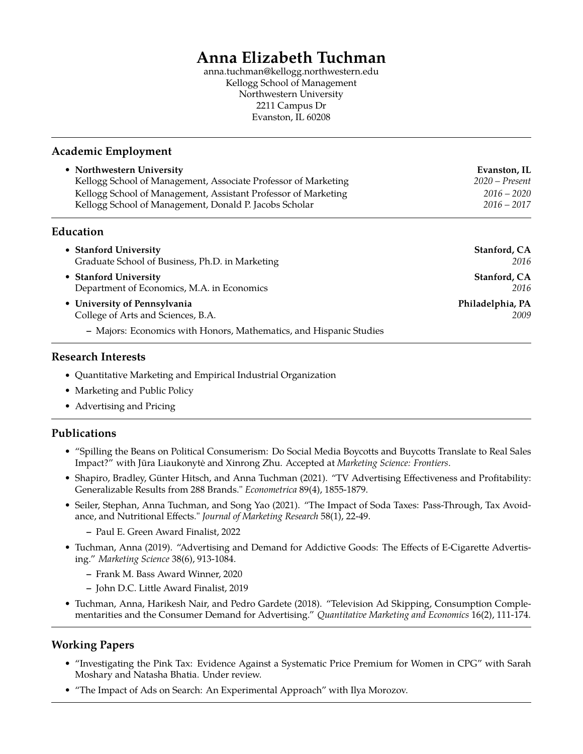# **Anna Elizabeth Tuchman**

anna.tuchman@kellogg.northwestern.edu Kellogg School of Management Northwestern University 2211 Campus Dr Evanston, IL 60208

#### **Academic Employment**

| • Northwestern University                                      | Evanston, IL     |
|----------------------------------------------------------------|------------------|
| Kellogg School of Management, Associate Professor of Marketing | $2020$ – Present |
| Kellogg School of Management, Assistant Professor of Marketing | $2016 - 2020$    |
| Kellogg School of Management, Donald P. Jacobs Scholar         | $2016 - 2017$    |
|                                                                |                  |

# **Education**

| • Stanford University                                              | Stanford, CA     |
|--------------------------------------------------------------------|------------------|
| Graduate School of Business, Ph.D. in Marketing                    | 2016             |
| • Stanford University                                              | Stanford, CA     |
| Department of Economics, M.A. in Economics                         | 2016             |
| • University of Pennsylvania                                       | Philadelphia, PA |
| College of Arts and Sciences, B.A.                                 | 2009             |
| - Majors: Economics with Honors, Mathematics, and Hispanic Studies |                  |

#### **Research Interests**

- Quantitative Marketing and Empirical Industrial Organization
- Marketing and Public Policy
- Advertising and Pricing

# **Publications**

- "Spilling the Beans on Political Consumerism: Do Social Media Boycotts and Buycotts Translate to Real Sales Impact?" with Jūra Liaukonytė and Xinrong Zhu. Accepted at *Marketing Science: Frontiers*.
- Shapiro, Bradley, Günter Hitsch, and Anna Tuchman (2021). "TV Advertising Effectiveness and Profitability: Generalizable Results from 288 Brands." *Econometrica* 89(4), 1855-1879.
- Seiler, Stephan, Anna Tuchman, and Song Yao (2021). "The Impact of Soda Taxes: Pass-Through, Tax Avoidance, and Nutritional Effects." *Journal of Marketing Research* 58(1), 22-49.
	- **–** Paul E. Green Award Finalist, 2022
- Tuchman, Anna (2019). "Advertising and Demand for Addictive Goods: The Effects of E-Cigarette Advertising." *Marketing Science* 38(6), 913-1084.
	- **–** Frank M. Bass Award Winner, 2020
	- **–** John D.C. Little Award Finalist, 2019
- Tuchman, Anna, Harikesh Nair, and Pedro Gardete (2018). "Television Ad Skipping, Consumption Complementarities and the Consumer Demand for Advertising." *Quantitative Marketing and Economics* 16(2), 111-174.

# **Working Papers**

- "Investigating the Pink Tax: Evidence Against a Systematic Price Premium for Women in CPG" with Sarah Moshary and Natasha Bhatia. Under review.
- "The Impact of Ads on Search: An Experimental Approach" with Ilya Morozov.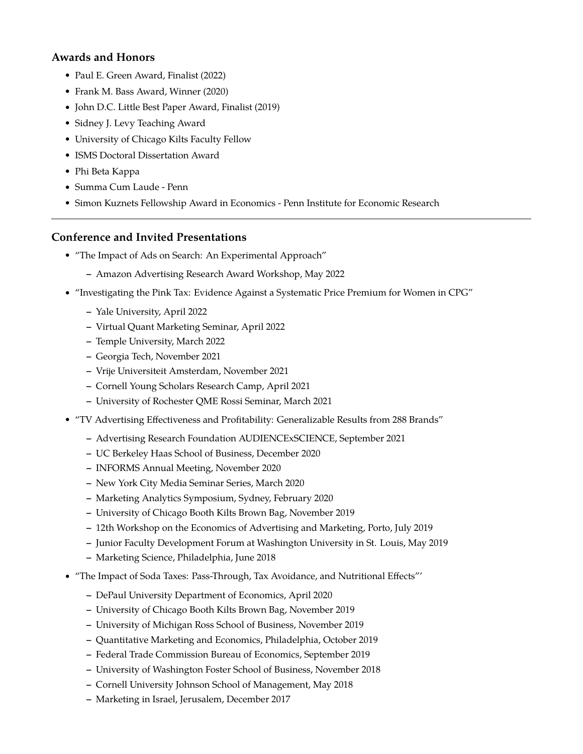# **Awards and Honors**

- Paul E. Green Award, Finalist (2022)
- Frank M. Bass Award, Winner (2020)
- John D.C. Little Best Paper Award, Finalist (2019)
- Sidney J. Levy Teaching Award
- University of Chicago Kilts Faculty Fellow
- ISMS Doctoral Dissertation Award
- Phi Beta Kappa
- Summa Cum Laude Penn
- Simon Kuznets Fellowship Award in Economics Penn Institute for Economic Research

# **Conference and Invited Presentations**

- "The Impact of Ads on Search: An Experimental Approach"
	- **–** Amazon Advertising Research Award Workshop, May 2022
- "Investigating the Pink Tax: Evidence Against a Systematic Price Premium for Women in CPG"
	- **–** Yale University, April 2022
	- **–** Virtual Quant Marketing Seminar, April 2022
	- **–** Temple University, March 2022
	- **–** Georgia Tech, November 2021
	- **–** Vrije Universiteit Amsterdam, November 2021
	- **–** Cornell Young Scholars Research Camp, April 2021
	- **–** University of Rochester QME Rossi Seminar, March 2021
- "TV Advertising Effectiveness and Profitability: Generalizable Results from 288 Brands"
	- **–** Advertising Research Foundation AUDIENCExSCIENCE, September 2021
	- **–** UC Berkeley Haas School of Business, December 2020
	- **–** INFORMS Annual Meeting, November 2020
	- **–** New York City Media Seminar Series, March 2020
	- **–** Marketing Analytics Symposium, Sydney, February 2020
	- **–** University of Chicago Booth Kilts Brown Bag, November 2019
	- **–** 12th Workshop on the Economics of Advertising and Marketing, Porto, July 2019
	- **–** Junior Faculty Development Forum at Washington University in St. Louis, May 2019
	- **–** Marketing Science, Philadelphia, June 2018
- "The Impact of Soda Taxes: Pass-Through, Tax Avoidance, and Nutritional Effects"'
	- **–** DePaul University Department of Economics, April 2020
	- **–** University of Chicago Booth Kilts Brown Bag, November 2019
	- **–** University of Michigan Ross School of Business, November 2019
	- **–** Quantitative Marketing and Economics, Philadelphia, October 2019
	- **–** Federal Trade Commission Bureau of Economics, September 2019
	- **–** University of Washington Foster School of Business, November 2018
	- **–** Cornell University Johnson School of Management, May 2018
	- **–** Marketing in Israel, Jerusalem, December 2017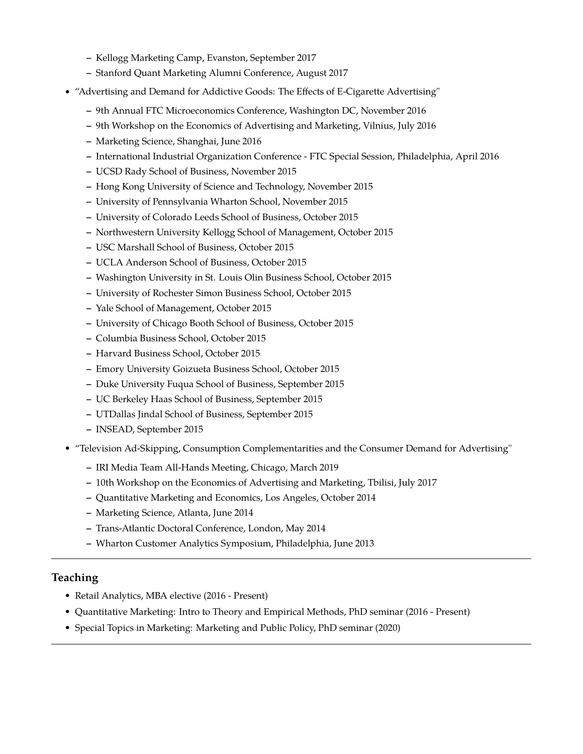- **–** Kellogg Marketing Camp, Evanston, September 2017
- **–** Stanford Quant Marketing Alumni Conference, August 2017
- "Advertising and Demand for Addictive Goods: The Effects of E-Cigarette Advertising"
	- **–** 9th Annual FTC Microeconomics Conference, Washington DC, November 2016
	- **–** 9th Workshop on the Economics of Advertising and Marketing, Vilnius, July 2016
	- **–** Marketing Science, Shanghai, June 2016
	- **–** International Industrial Organization Conference FTC Special Session, Philadelphia, April 2016
	- **–** UCSD Rady School of Business, November 2015
	- **–** Hong Kong University of Science and Technology, November 2015
	- **–** University of Pennsylvania Wharton School, November 2015
	- **–** University of Colorado Leeds School of Business, October 2015
	- **–** Northwestern University Kellogg School of Management, October 2015
	- **–** USC Marshall School of Business, October 2015
	- **–** UCLA Anderson School of Business, October 2015
	- **–** Washington University in St. Louis Olin Business School, October 2015
	- **–** University of Rochester Simon Business School, October 2015
	- **–** Yale School of Management, October 2015
	- **–** University of Chicago Booth School of Business, October 2015
	- **–** Columbia Business School, October 2015
	- **–** Harvard Business School, October 2015
	- **–** Emory University Goizueta Business School, October 2015
	- **–** Duke University Fuqua School of Business, September 2015
	- **–** UC Berkeley Haas School of Business, September 2015
	- **–** UTDallas Jindal School of Business, September 2015
	- **–** INSEAD, September 2015
- "Television Ad-Skipping, Consumption Complementarities and the Consumer Demand for Advertising"
	- **–** IRI Media Team All-Hands Meeting, Chicago, March 2019
	- **–** 10th Workshop on the Economics of Advertising and Marketing, Tbilisi, July 2017
	- **–** Quantitative Marketing and Economics, Los Angeles, October 2014
	- **–** Marketing Science, Atlanta, June 2014
	- **–** Trans-Atlantic Doctoral Conference, London, May 2014
	- **–** Wharton Customer Analytics Symposium, Philadelphia, June 2013

#### **Teaching**

- Retail Analytics, MBA elective (2016 Present)
- Quantitative Marketing: Intro to Theory and Empirical Methods, PhD seminar (2016 Present)
- Special Topics in Marketing: Marketing and Public Policy, PhD seminar (2020)